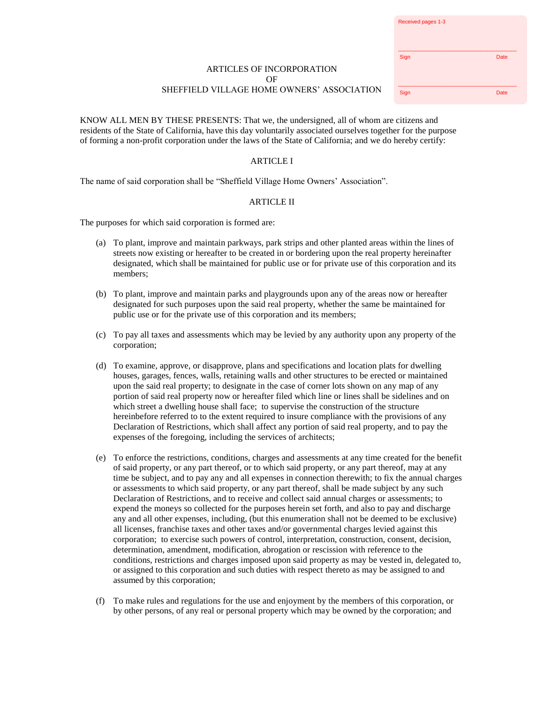| Received pages 1-3 |      |
|--------------------|------|
| Sign               | Date |
| Sign               | Date |

## ARTICLES OF INCORPORATION  $\Omega$ F SHEFFIELD VILLAGE HOME OWNERS' ASSOCIATION

KNOW ALL MEN BY THESE PRESENTS: That we, the undersigned, all of whom are citizens and residents of the State of California, have this day voluntarily associated ourselves together for the purpose of forming a non-profit corporation under the laws of the State of California; and we do hereby certify:

# ARTICLE I

The name of said corporation shall be "Sheffield Village Home Owners' Association".

# ARTICLE II

The purposes for which said corporation is formed are:

- (a) To plant, improve and maintain parkways, park strips and other planted areas within the lines of streets now existing or hereafter to be created in or bordering upon the real property hereinafter designated, which shall be maintained for public use or for private use of this corporation and its members;
- (b) To plant, improve and maintain parks and playgrounds upon any of the areas now or hereafter designated for such purposes upon the said real property, whether the same be maintained for public use or for the private use of this corporation and its members;
- (c) To pay all taxes and assessments which may be levied by any authority upon any property of the corporation;
- (d) To examine, approve, or disapprove, plans and specifications and location plats for dwelling houses, garages, fences, walls, retaining walls and other structures to be erected or maintained upon the said real property; to designate in the case of corner lots shown on any map of any portion of said real property now or hereafter filed which line or lines shall be sidelines and on which street a dwelling house shall face; to supervise the construction of the structure hereinbefore referred to to the extent required to insure compliance with the provisions of any Declaration of Restrictions, which shall affect any portion of said real property, and to pay the expenses of the foregoing, including the services of architects;
- (e) To enforce the restrictions, conditions, charges and assessments at any time created for the benefit of said property, or any part thereof, or to which said property, or any part thereof, may at any time be subject, and to pay any and all expenses in connection therewith; to fix the annual charges or assessments to which said property, or any part thereof, shall be made subject by any such Declaration of Restrictions, and to receive and collect said annual charges or assessments; to expend the moneys so collected for the purposes herein set forth, and also to pay and discharge any and all other expenses, including, (but this enumeration shall not be deemed to be exclusive) all licenses, franchise taxes and other taxes and/or governmental charges levied against this corporation; to exercise such powers of control, interpretation, construction, consent, decision, determination, amendment, modification, abrogation or rescission with reference to the conditions, restrictions and charges imposed upon said property as may be vested in, delegated to, or assigned to this corporation and such duties with respect thereto as may be assigned to and assumed by this corporation;
- (f) To make rules and regulations for the use and enjoyment by the members of this corporation, or by other persons, of any real or personal property which may be owned by the corporation; and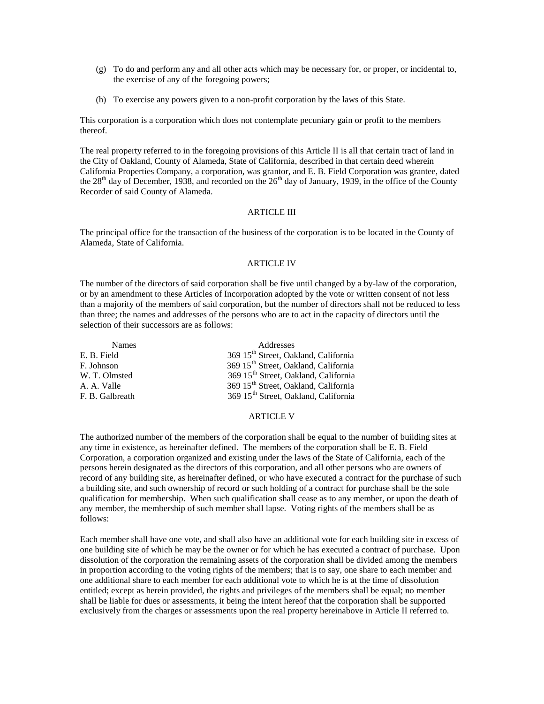- (g) To do and perform any and all other acts which may be necessary for, or proper, or incidental to, the exercise of any of the foregoing powers;
- (h) To exercise any powers given to a non-profit corporation by the laws of this State.

This corporation is a corporation which does not contemplate pecuniary gain or profit to the members thereof.

The real property referred to in the foregoing provisions of this Article II is all that certain tract of land in the City of Oakland, County of Alameda, State of California, described in that certain deed wherein California Properties Company, a corporation, was grantor, and E. B. Field Corporation was grantee, dated the  $28<sup>th</sup>$  day of December, 1938, and recorded on the  $26<sup>th</sup>$  day of January, 1939, in the office of the County Recorder of said County of Alameda.

### ARTICLE III

The principal office for the transaction of the business of the corporation is to be located in the County of Alameda, State of California.

#### ARTICLE IV

The number of the directors of said corporation shall be five until changed by a by-law of the corporation, or by an amendment to these Articles of Incorporation adopted by the vote or written consent of not less than a majority of the members of said corporation, but the number of directors shall not be reduced to less than three; the names and addresses of the persons who are to act in the capacity of directors until the selection of their successors are as follows:

| <b>Names</b>    | Addresses                                        |
|-----------------|--------------------------------------------------|
| E. B. Field     | 369 15 <sup>th</sup> Street, Oakland, California |
| F. Johnson      | 369 15 <sup>th</sup> Street, Oakland, California |
| W. T. Olmsted   | 369 15 <sup>th</sup> Street, Oakland, California |
| A. A. Valle     | 369 15 <sup>th</sup> Street, Oakland, California |
| F. B. Galbreath | 369 15 <sup>th</sup> Street, Oakland, California |

### ARTICLE V

The authorized number of the members of the corporation shall be equal to the number of building sites at any time in existence, as hereinafter defined. The members of the corporation shall be E. B. Field Corporation, a corporation organized and existing under the laws of the State of California, each of the persons herein designated as the directors of this corporation, and all other persons who are owners of record of any building site, as hereinafter defined, or who have executed a contract for the purchase of such a building site, and such ownership of record or such holding of a contract for purchase shall be the sole qualification for membership. When such qualification shall cease as to any member, or upon the death of any member, the membership of such member shall lapse. Voting rights of the members shall be as follows:

Each member shall have one vote, and shall also have an additional vote for each building site in excess of one building site of which he may be the owner or for which he has executed a contract of purchase. Upon dissolution of the corporation the remaining assets of the corporation shall be divided among the members in proportion according to the voting rights of the members; that is to say, one share to each member and one additional share to each member for each additional vote to which he is at the time of dissolution entitled; except as herein provided, the rights and privileges of the members shall be equal; no member shall be liable for dues or assessments, it being the intent hereof that the corporation shall be supported exclusively from the charges or assessments upon the real property hereinabove in Article II referred to.